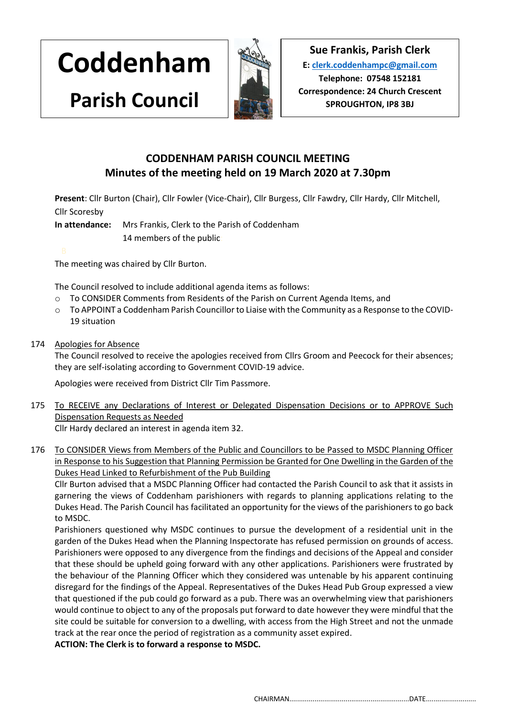**Coddenham**

**Parish Council**



**Sue Frankis, Parish Clerk E[: clerk.coddenhampc@gmail.com](mailto:clerk.coddenhampc@gmail.com) Telephone: 07548 152181 Correspondence: 24 Church Crescent SPROUGHTON, IP8 3BJ**

# **CODDENHAM PARISH COUNCIL MEETING Minutes of the meeting held on 19 March 2020 at 7.30pm**

**Present**: Cllr Burton (Chair), Cllr Fowler (Vice-Chair), Cllr Burgess, Cllr Fawdry, Cllr Hardy, Cllr Mitchell, Cllr Scoresby

**In attendance:** Mrs Frankis, Clerk to the Parish of Coddenham

14 members of the public:

The meeting was chaired by Cllr Burton.

The Council resolved to include additional agenda items as follows:

- o To CONSIDER Comments from Residents of the Parish on Current Agenda Items, and
- o To APPOINT a Coddenham Parish Councillor to Liaise with the Community as a Response to the COVID-19 situation
- 174 Apologies for Absence

The Council resolved to receive the apologies received from Cllrs Groom and Peecock for their absences; they are self-isolating according to Government COVID-19 advice.

Apologies were received from District Cllr Tim Passmore.

- 175 To RECEIVE any Declarations of Interest or Delegated Dispensation Decisions or to APPROVE Such Dispensation Requests as Needed Cllr Hardy declared an interest in agenda item 32.
- 176 To CONSIDER Views from Members of the Public and Councillors to be Passed to MSDC Planning Officer in Response to his Suggestion that Planning Permission be Granted for One Dwelling in the Garden of the Dukes Head Linked to Refurbishment of the Pub Building

Cllr Burton advised that a MSDC Planning Officer had contacted the Parish Council to ask that it assists in garnering the views of Coddenham parishioners with regards to planning applications relating to the Dukes Head. The Parish Council has facilitated an opportunity for the views of the parishioners to go back to MSDC.

Parishioners questioned why MSDC continues to pursue the development of a residential unit in the garden of the Dukes Head when the Planning Inspectorate has refused permission on grounds of access. Parishioners were opposed to any divergence from the findings and decisions of the Appeal and consider that these should be upheld going forward with any other applications. Parishioners were frustrated by the behaviour of the Planning Officer which they considered was untenable by his apparent continuing disregard for the findings of the Appeal. Representatives of the Dukes Head Pub Group expressed a view that questioned if the pub could go forward as a pub. There was an overwhelming view that parishioners would continue to object to any of the proposals put forward to date however they were mindful that the site could be suitable for conversion to a dwelling, with access from the High Street and not the unmade track at the rear once the period of registration as a community asset expired.

**ACTION: The Clerk is to forward a response to MSDC.**

CHAIRMAN..............................................................DATE..........................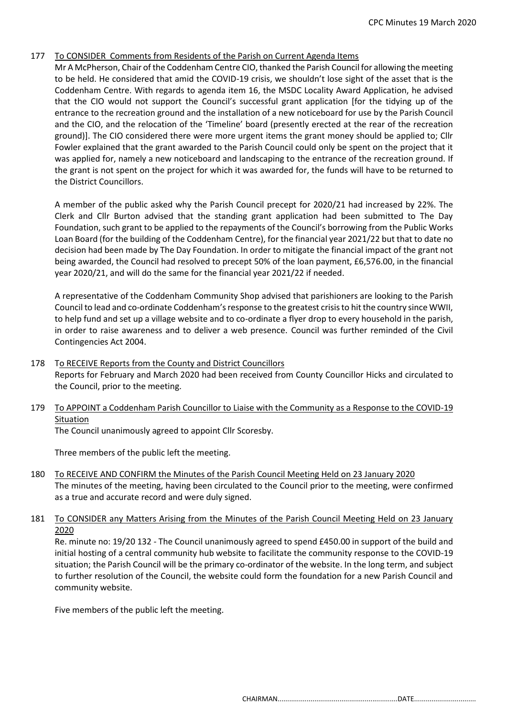# 177 To CONSIDER Comments from Residents of the Parish on Current Agenda Items

Mr A McPherson, Chair of the Coddenham Centre CIO, thanked the Parish Council for allowing the meeting to be held. He considered that amid the COVID-19 crisis, we shouldn't lose sight of the asset that is the Coddenham Centre. With regards to agenda item 16, the MSDC Locality Award Application, he advised that the CIO would not support the Council's successful grant application [for the tidying up of the entrance to the recreation ground and the installation of a new noticeboard for use by the Parish Council and the CIO, and the relocation of the 'Timeline' board (presently erected at the rear of the recreation ground)]. The CIO considered there were more urgent items the grant money should be applied to; Cllr Fowler explained that the grant awarded to the Parish Council could only be spent on the project that it was applied for, namely a new noticeboard and landscaping to the entrance of the recreation ground. If the grant is not spent on the project for which it was awarded for, the funds will have to be returned to the District Councillors.

A member of the public asked why the Parish Council precept for 2020/21 had increased by 22%. The Clerk and Cllr Burton advised that the standing grant application had been submitted to The Day Foundation, such grant to be applied to the repayments of the Council's borrowing from the Public Works Loan Board (for the building of the Coddenham Centre), for the financial year 2021/22 but that to date no decision had been made by The Day Foundation. In order to mitigate the financial impact of the grant not being awarded, the Council had resolved to precept 50% of the loan payment, £6,576.00, in the financial year 2020/21, and will do the same for the financial year 2021/22 if needed.

A representative of the Coddenham Community Shop advised that parishioners are looking to the Parish Council to lead and co-ordinate Coddenham's response to the greatest crisis to hit the country since WWII, to help fund and set up a village website and to co-ordinate a flyer drop to every household in the parish, in order to raise awareness and to deliver a web presence. Council was further reminded of the Civil Contingencies Act 2004.

- 178 To RECEIVE Reports from the County and District Councillors Reports for February and March 2020 had been received from County Councillor Hicks and circulated to the Council, prior to the meeting.
- 179 To APPOINT a Coddenham Parish Councillor to Liaise with the Community as a Response to the COVID-19 Situation

The Council unanimously agreed to appoint Cllr Scoresby.

Three members of the public left the meeting.

180 To RECEIVE AND CONFIRM the Minutes of the Parish Council Meeting Held on 23 January 2020 The minutes of the meeting, having been circulated to the Council prior to the meeting, were confirmed as a true and accurate record and were duly signed.

## 181 To CONSIDER any Matters Arising from the Minutes of the Parish Council Meeting Held on 23 January 2020

Re. minute no: 19/20 132 - The Council unanimously agreed to spend £450.00 in support of the build and initial hosting of a central community hub website to facilitate the community response to the COVID-19 situation; the Parish Council will be the primary co-ordinator of the website. In the long term, and subject to further resolution of the Council, the website could form the foundation for a new Parish Council and community website.

Five members of the public left the meeting.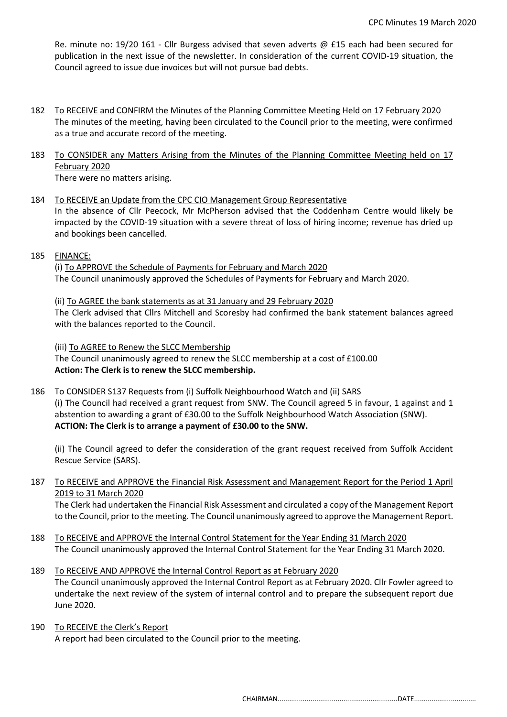Re. minute no: 19/20 161 - Cllr Burgess advised that seven adverts @ £15 each had been secured for publication in the next issue of the newsletter. In consideration of the current COVID-19 situation, the Council agreed to issue due invoices but will not pursue bad debts.

- 182 To RECEIVE and CONFIRM the Minutes of the Planning Committee Meeting Held on 17 February 2020 The minutes of the meeting, having been circulated to the Council prior to the meeting, were confirmed as a true and accurate record of the meeting.
- 183 To CONSIDER any Matters Arising from the Minutes of the Planning Committee Meeting held on 17 February 2020 There were no matters arising.

# 184 To RECEIVE an Update from the CPC CIO Management Group Representative

In the absence of Cllr Peecock, Mr McPherson advised that the Coddenham Centre would likely be impacted by the COVID-19 situation with a severe threat of loss of hiring income; revenue has dried up and bookings been cancelled.

185 FINANCE:

(i) To APPROVE the Schedule of Payments for February and March 2020 The Council unanimously approved the Schedules of Payments for February and March 2020.

(ii) To AGREE the bank statements as at 31 January and 29 February 2020 The Clerk advised that Cllrs Mitchell and Scoresby had confirmed the bank statement balances agreed with the balances reported to the Council.

(iii) To AGREE to Renew the SLCC Membership The Council unanimously agreed to renew the SLCC membership at a cost of £100.00 **Action: The Clerk is to renew the SLCC membership.**

## 186 To CONSIDER S137 Requests from (i) Suffolk Neighbourhood Watch and (ii) SARS

(i) The Council had received a grant request from SNW. The Council agreed 5 in favour, 1 against and 1 abstention to awarding a grant of £30.00 to the Suffolk Neighbourhood Watch Association (SNW). **ACTION: The Clerk is to arrange a payment of £30.00 to the SNW.**

(ii) The Council agreed to defer the consideration of the grant request received from Suffolk Accident Rescue Service (SARS).

# 187 To RECEIVE and APPROVE the Financial Risk Assessment and Management Report for the Period 1 April 2019 to 31 March 2020

The Clerk had undertaken the Financial Risk Assessment and circulated a copy of the Management Report to the Council, prior to the meeting. The Council unanimously agreed to approve the Management Report.

- 188 To RECEIVE and APPROVE the Internal Control Statement for the Year Ending 31 March 2020 The Council unanimously approved the Internal Control Statement for the Year Ending 31 March 2020.
- 189 To RECEIVE AND APPROVE the Internal Control Report as at February 2020 The Council unanimously approved the Internal Control Report as at February 2020. Cllr Fowler agreed to undertake the next review of the system of internal control and to prepare the subsequent report due June 2020.
- 190 To RECEIVE the Clerk's Report A report had been circulated to the Council prior to the meeting.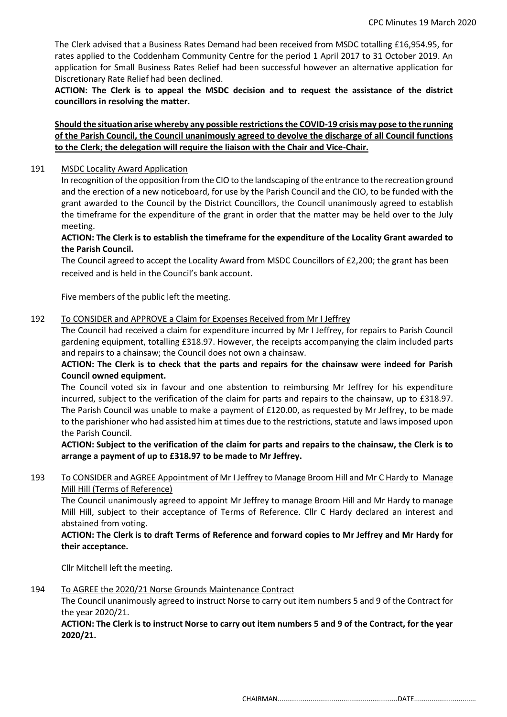The Clerk advised that a Business Rates Demand had been received from MSDC totalling £16,954.95, for rates applied to the Coddenham Community Centre for the period 1 April 2017 to 31 October 2019. An application for Small Business Rates Relief had been successful however an alternative application for Discretionary Rate Relief had been declined.

**ACTION: The Clerk is to appeal the MSDC decision and to request the assistance of the district councillors in resolving the matter.**

# **Should the situation arise whereby any possible restrictions the COVID-19 crisis may pose to the running of the Parish Council, the Council unanimously agreed to devolve the discharge of all Council functions to the Clerk; the delegation will require the liaison with the Chair and Vice-Chair.**

#### 191 MSDC Locality Award Application

In recognition of the opposition from the CIO to the landscaping ofthe entrance to the recreation ground and the erection of a new noticeboard, for use by the Parish Council and the CIO, to be funded with the grant awarded to the Council by the District Councillors, the Council unanimously agreed to establish the timeframe for the expenditure of the grant in order that the matter may be held over to the July meeting.

# **ACTION: The Clerk is to establish the timeframe for the expenditure of the Locality Grant awarded to the Parish Council.**

The Council agreed to accept the Locality Award from MSDC Councillors of £2,200; the grant has been received and is held in the Council's bank account.

Five members of the public left the meeting.

#### 192 To CONSIDER and APPROVE a Claim for Expenses Received from Mr I Jeffrey

The Council had received a claim for expenditure incurred by Mr I Jeffrey, for repairs to Parish Council gardening equipment, totalling £318.97. However, the receipts accompanying the claim included parts and repairs to a chainsaw; the Council does not own a chainsaw.

# **ACTION: The Clerk is to check that the parts and repairs for the chainsaw were indeed for Parish Council owned equipment.**

The Council voted six in favour and one abstention to reimbursing Mr Jeffrey for his expenditure incurred, subject to the verification of the claim for parts and repairs to the chainsaw, up to £318.97. The Parish Council was unable to make a payment of £120.00, as requested by Mr Jeffrey, to be made to the parishioner who had assisted him at times due to the restrictions, statute and laws imposed upon the Parish Council.

**ACTION: Subject to the verification of the claim for parts and repairs to the chainsaw, the Clerk is to arrange a payment of up to £318.97 to be made to Mr Jeffrey.**

# 193 To CONSIDER and AGREE Appointment of Mr I Jeffrey to Manage Broom Hill and Mr C Hardy to Manage Mill Hill (Terms of Reference)

The Council unanimously agreed to appoint Mr Jeffrey to manage Broom Hill and Mr Hardy to manage Mill Hill, subject to their acceptance of Terms of Reference. Cllr C Hardy declared an interest and abstained from voting.

## **ACTION: The Clerk is to draft Terms of Reference and forward copies to Mr Jeffrey and Mr Hardy for their acceptance.**

Cllr Mitchell left the meeting.

## 194 To AGREE the 2020/21 Norse Grounds Maintenance Contract

The Council unanimously agreed to instruct Norse to carry out item numbers 5 and 9 of the Contract for the year 2020/21.

**ACTION: The Clerk is to instruct Norse to carry out item numbers 5 and 9 of the Contract, for the year 2020/21.**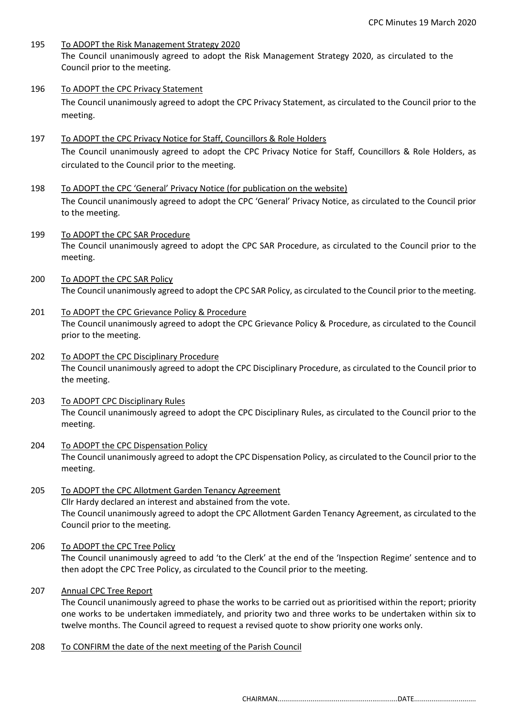- 195 To ADOPT the Risk Management Strategy 2020 The Council unanimously agreed to adopt the Risk Management Strategy 2020, as circulated to the Council prior to the meeting.
- 196 To ADOPT the CPC Privacy Statement The Council unanimously agreed to adopt the CPC Privacy Statement, as circulated to the Council prior to the meeting.
- 197 To ADOPT the CPC Privacy Notice for Staff, Councillors & Role Holders The Council unanimously agreed to adopt the CPC Privacy Notice for Staff, Councillors & Role Holders, as circulated to the Council prior to the meeting.
- 198 To ADOPT the CPC 'General' Privacy Notice (for publication on the website) The Council unanimously agreed to adopt the CPC 'General' Privacy Notice, as circulated to the Council prior to the meeting.
- 199 To ADOPT the CPC SAR Procedure The Council unanimously agreed to adopt the CPC SAR Procedure, as circulated to the Council prior to the meeting.
- 200 To ADOPT the CPC SAR Policy The Council unanimously agreed to adopt the CPC SAR Policy, as circulated to the Council prior to the meeting.
- 201 To ADOPT the CPC Grievance Policy & Procedure The Council unanimously agreed to adopt the CPC Grievance Policy & Procedure, as circulated to the Council prior to the meeting.
- 202 To ADOPT the CPC Disciplinary Procedure The Council unanimously agreed to adopt the CPC Disciplinary Procedure, as circulated to the Council prior to the meeting.
- 203 To ADOPT CPC Disciplinary Rules The Council unanimously agreed to adopt the CPC Disciplinary Rules, as circulated to the Council prior to the meeting.
- 204 To ADOPT the CPC Dispensation Policy The Council unanimously agreed to adopt the CPC Dispensation Policy, as circulated to the Council prior to the meeting.
- 205 To ADOPT the CPC Allotment Garden Tenancy Agreement Cllr Hardy declared an interest and abstained from the vote. The Council unanimously agreed to adopt the CPC Allotment Garden Tenancy Agreement, as circulated to the Council prior to the meeting.
- 206 To ADOPT the CPC Tree Policy

The Council unanimously agreed to add 'to the Clerk' at the end of the 'Inspection Regime' sentence and to then adopt the CPC Tree Policy, as circulated to the Council prior to the meeting.

207 Annual CPC Tree Report

The Council unanimously agreed to phase the works to be carried out as prioritised within the report; priority one works to be undertaken immediately, and priority two and three works to be undertaken within six to twelve months. The Council agreed to request a revised quote to show priority one works only.

208 To CONFIRM the date of the next meeting of the Parish Council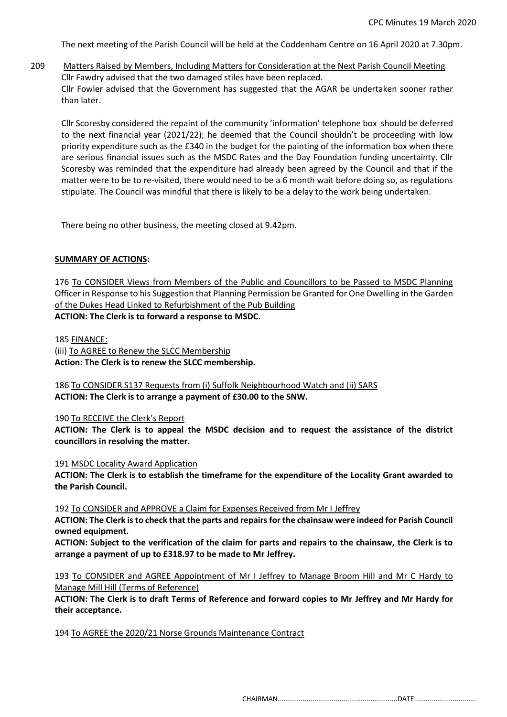The next meeting of the Parish Council will be held at the Coddenham Centre on 16 April 2020 at 7.30pm.

209 Matters Raised by Members, Including Matters for Consideration at the Next Parish Council Meeting Cllr Fawdry advised that the two damaged stiles have been replaced. Cllr Fowler advised that the Government has suggested that the AGAR be undertaken sooner rather than later.

Cllr Scoresby considered the repaint of the community 'information' telephone box should be deferred to the next financial year (2021/22); he deemed that the Council shouldn't be proceeding with low priority expenditure such as the £340 in the budget for the painting of the information box when there are serious financial issues such as the MSDC Rates and the Day Foundation funding uncertainty. Cllr Scoresby was reminded that the expenditure had already been agreed by the Council and that if the matter were to be to re-visited, there would need to be a 6 month wait before doing so, as regulations stipulate. The Council was mindful that there is likely to be a delay to the work being undertaken.

There being no other business, the meeting closed at 9.42pm.

#### **SUMMARY OF ACTIONS:**

176 To CONSIDER Views from Members of the Public and Councillors to be Passed to MSDC Planning Officer in Response to his Suggestion that Planning Permission be Granted for One Dwelling in the Garden of the Dukes Head Linked to Refurbishment of the Pub Building **ACTION: The Clerk is to forward a response to MSDC.**

185 FINANCE:

(iii) To AGREE to Renew the SLCC Membership **Action: The Clerk is to renew the SLCC membership.**

186 To CONSIDER S137 Requests from (i) Suffolk Neighbourhood Watch and (ii) SARS **ACTION: The Clerk is to arrange a payment of £30.00 to the SNW.**

## 190 To RECEIVE the Clerk's Report

**ACTION: The Clerk is to appeal the MSDC decision and to request the assistance of the district councillors in resolving the matter.**

191 MSDC Locality Award Application

**ACTION: The Clerk is to establish the timeframe for the expenditure of the Locality Grant awarded to the Parish Council.**

192 To CONSIDER and APPROVE a Claim for Expenses Received from Mr I Jeffrey

**ACTION: The Clerk is to check that the parts and repairs for the chainsaw were indeed for Parish Council owned equipment.**

**ACTION: Subject to the verification of the claim for parts and repairs to the chainsaw, the Clerk is to arrange a payment of up to £318.97 to be made to Mr Jeffrey.**

193 To CONSIDER and AGREE Appointment of Mr I Jeffrey to Manage Broom Hill and Mr C Hardy to Manage Mill Hill (Terms of Reference)

**ACTION: The Clerk is to draft Terms of Reference and forward copies to Mr Jeffrey and Mr Hardy for their acceptance.**

194 To AGREE the 2020/21 Norse Grounds Maintenance Contract